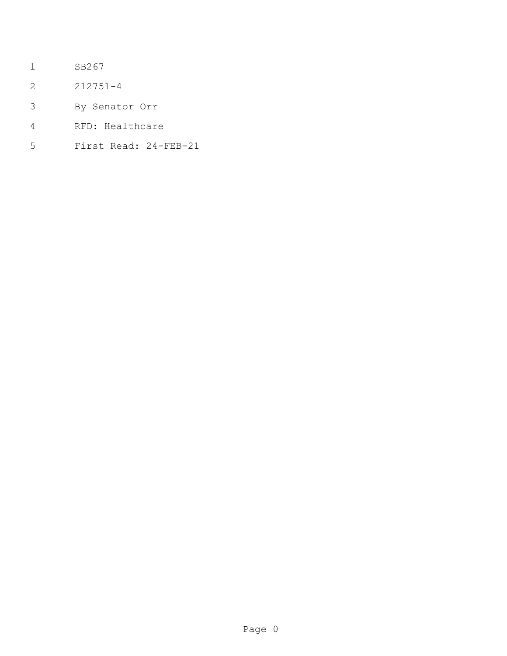- SB267
- 212751-4
- By Senator Orr
- RFD: Healthcare
- First Read: 24-FEB-21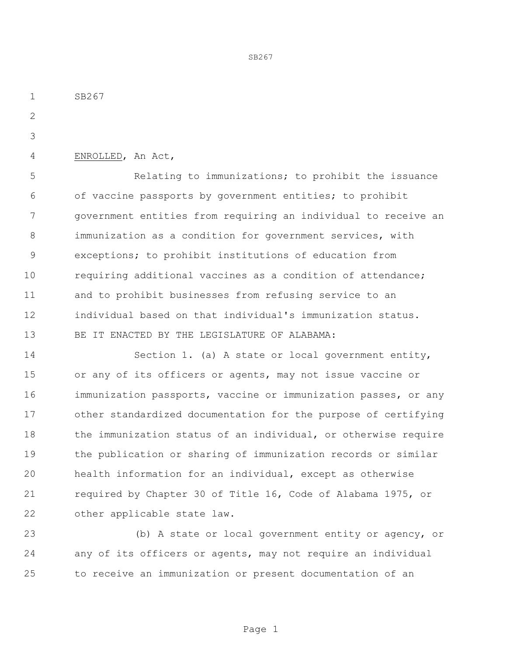SB267

ENROLLED, An Act,

 Relating to immunizations; to prohibit the issuance of vaccine passports by government entities; to prohibit government entities from requiring an individual to receive an immunization as a condition for government services, with exceptions; to prohibit institutions of education from requiring additional vaccines as a condition of attendance; and to prohibit businesses from refusing service to an individual based on that individual's immunization status. BE IT ENACTED BY THE LEGISLATURE OF ALABAMA:

SB267

 Section 1. (a) A state or local government entity, or any of its officers or agents, may not issue vaccine or immunization passports, vaccine or immunization passes, or any other standardized documentation for the purpose of certifying the immunization status of an individual, or otherwise require the publication or sharing of immunization records or similar health information for an individual, except as otherwise required by Chapter 30 of Title 16, Code of Alabama 1975, or other applicable state law.

 (b) A state or local government entity or agency, or any of its officers or agents, may not require an individual to receive an immunization or present documentation of an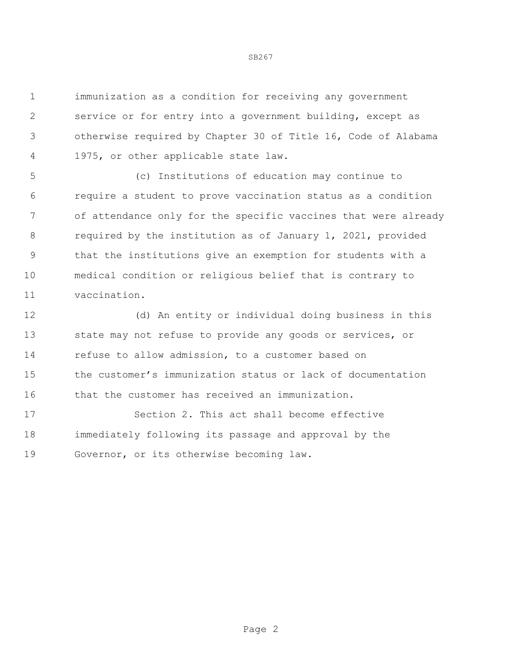immunization as a condition for receiving any government service or for entry into a government building, except as otherwise required by Chapter 30 of Title 16, Code of Alabama 1975, or other applicable state law.

 (c) Institutions of education may continue to require a student to prove vaccination status as a condition of attendance only for the specific vaccines that were already required by the institution as of January 1, 2021, provided that the institutions give an exemption for students with a medical condition or religious belief that is contrary to vaccination.

 (d) An entity or individual doing business in this 13 state may not refuse to provide any goods or services, or refuse to allow admission, to a customer based on the customer's immunization status or lack of documentation that the customer has received an immunization.

 Section 2. This act shall become effective immediately following its passage and approval by the Governor, or its otherwise becoming law.

SB267